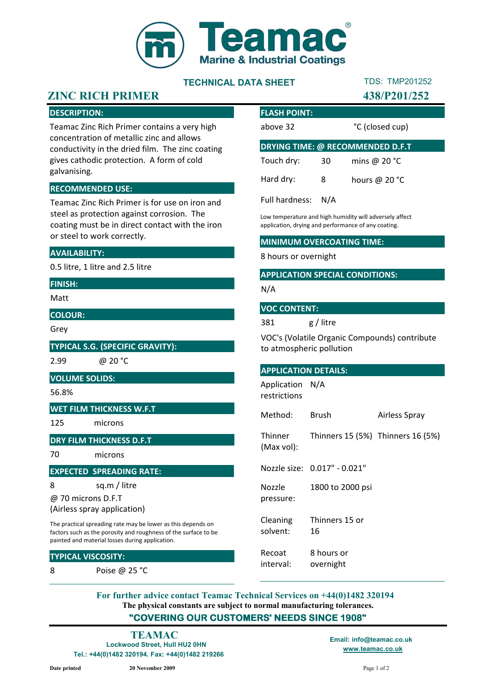

# TECHNICAL DATA SHEET

# TDS: TMP201252

# ZINC RICH PRIMER 438/P201/252

### DESCRIPTION:

Teamac Zinc Rich Primer contains a very high concentration of metallic zinc and allows conductivity in the dried film. The zinc coating gives cathodic protection. A form of cold galvanising.

#### RECOMMENDED USE:

Teamac Zinc Rich Primer is for use on iron and steel as protection against corrosion. The coating must be in direct contact with the iron or steel to work correctly.

#### AVAILABILITY:

0.5 litre, 1 litre and 2.5 litre

#### FINISH:

Matt

COLOUR:

Grey

TYPICAL S.G. (SPECIFIC GRAVITY):

2.99 @ 20 °C

#### VOLUME SOLIDS:

56.8%

#### WET FILM THICKNESS W.F.T

125 microns

#### DRY FILM THICKNESS D.F.T

70 microns

#### EXPECTED SPREADING RATE:

8 sq.m / litre

@ 70 microns D.F.T

The practical spreading rate may be lower as this depends on (Airless spray application)

factors such as the porosity and roughness of the surface to be painted and material losses during application.

#### TYPICAL VISCOSITY:

8 Poise @ 25 °C

| <b>FLASH POINT:</b>                     |     |                 |
|-----------------------------------------|-----|-----------------|
| above 32                                |     | °C (closed cup) |
| <b>DRYING TIME: @ RECOMMENDED D.F.T</b> |     |                 |
| Touch dry:                              | 30  | mins @ $20 °C$  |
| Hard dry:                               | 8   | hours @ $20 °C$ |
| Full hardness:                          | N/A |                 |

Low temperature and high humidity will adversely affect application, drying and performance of any coating.

#### MINIMUM OVERCOATING TIME:

8 hours or overnight

#### APPLICATION SPECIAL CONDITIONS:

N/A

#### VOC CONTENT:

381 g / litre

VOC's (Volatile Organic Compounds) contribute to atmospheric pollution

#### APPLICATION DETAILS:

Application N/A restrictions

Method: Brush Airless Spray

Thinner (Max vol): Thinners 15 (5%) Thinners 16 (5%)

Nozzle size: 0.017" - 0.021"

Nozzle pressure: 1800 to 2000 psi

Cleaning solvent: Thinners 15 or 16

Recoat interval: 8 hours or overnight

The physical constants are subject to normal manufacturing tolerances. "COVERING OUR CUSTOMERS' NEEDS SINCE 1908" For further advice contact Teamac Technical Services on +44(0)1482 320194

Lockwood Street, Hull HU2 0HN Tel.: +44(0)1482 320194. Fax: +44(0)1482 219266 www.teamac.co.uk